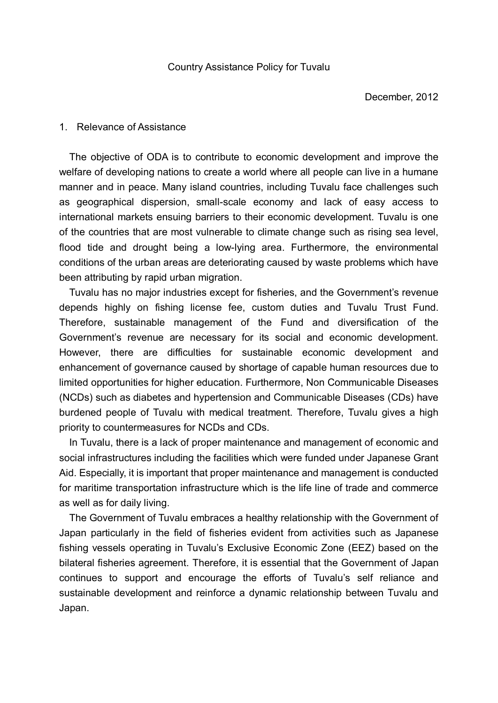### 1. Relevance of Assistance

The objective of ODA is to contribute to economic development and improve the welfare of developing nations to create a world where all people can live in a humane manner and in peace. Many island countries, including Tuvalu face challenges such as geographical dispersion, small-scale economy and lack of easy access to international markets ensuing barriers to their economic development. Tuvalu is one of the countries that are most vulnerable to climate change such as rising sea level, flood tide and drought being a low-lying area. Furthermore, the environmental conditions of the urban areas are deteriorating caused by waste problems which have been attributing by rapid urban migration.

Tuvalu has no major industries except for fisheries, and the Government's revenue depends highly on fishing license fee, custom duties and Tuvalu Trust Fund. Therefore, sustainable management of the Fund and diversification of the Government's revenue are necessary for its social and economic development. However, there are difficulties for sustainable economic development and enhancement of governance caused by shortage of capable human resources due to limited opportunities for higher education. Furthermore, Non Communicable Diseases (NCDs) such as diabetes and hypertension and Communicable Diseases (CDs) have burdened people of Tuvalu with medical treatment. Therefore, Tuvalu gives a high priority to countermeasures for NCDs and CDs.

In Tuvalu, there is a lack of proper maintenance and management of economic and social infrastructures including the facilities which were funded under Japanese Grant Aid. Especially, it is important that proper maintenance and management is conducted for maritime transportation infrastructure which is the life line of trade and commerce as well as for daily living.

The Government of Tuvalu embraces a healthy relationship with the Government of Japan particularly in the field of fisheries evident from activities such as Japanese fishing vessels operating in Tuvalu's Exclusive Economic Zone (EEZ) based on the bilateral fisheries agreement. Therefore, it is essential that the Government of Japan continues to support and encourage the efforts of Tuvalu's self reliance and sustainable development and reinforce a dynamic relationship between Tuvalu and Japan.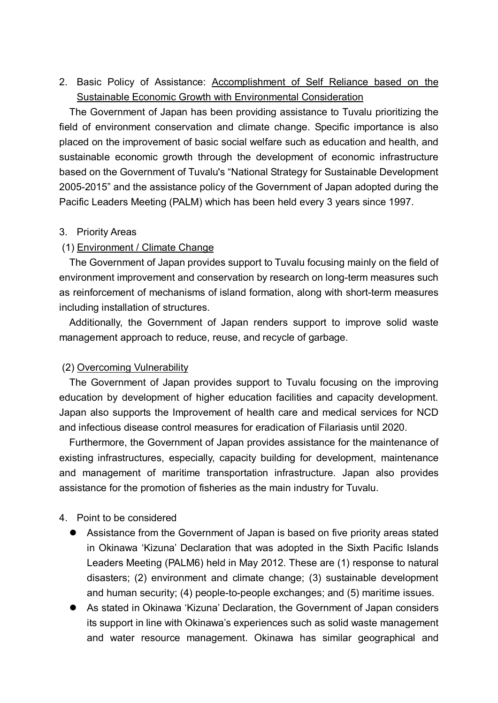2. Basic Policy of Assistance: Accomplishment of Self Reliance based on the Sustainable Economic Growth with Environmental Consideration

The Government of Japan has been providing assistance to Tuvalu prioritizing the field of environment conservation and climate change. Specific importance is also placed on the improvement of basic social welfare such as education and health, and sustainable economic growth through the development of economic infrastructure based on the Government of Tuvalu's "National Strategy for Sustainable Development 2005-2015" and the assistance policy of the Government of Japan adopted during the Pacific Leaders Meeting (PALM) which has been held every 3 years since 1997.

### 3. Priority Areas

# (1) Environment / Climate Change

The Government of Japan provides support to Tuvalu focusing mainly on the field of environment improvement and conservation by research on long-term measures such as reinforcement of mechanisms of island formation, along with short-term measures including installation of structures.

Additionally, the Government of Japan renders support to improve solid waste management approach to reduce, reuse, and recycle of garbage.

# (2) Overcoming Vulnerability

The Government of Japan provides support to Tuvalu focusing on the improving education by development of higher education facilities and capacity development. Japan also supports the Improvement of health care and medical services for NCD and infectious disease control measures for eradication of Filariasis until 2020.

Furthermore, the Government of Japan provides assistance for the maintenance of existing infrastructures, especially, capacity building for development, maintenance and management of maritime transportation infrastructure. Japan also provides assistance for the promotion of fisheries as the main industry for Tuvalu.

# 4. Point to be considered

- Assistance from the Government of Japan is based on five priority areas stated in Okinawa 'Kizuna' Declaration that was adopted in the Sixth Pacific Islands Leaders Meeting (PALM6) held in May 2012. These are (1) response to natural disasters; (2) environment and climate change; (3) sustainable development and human security; (4) people-to-people exchanges; and (5) maritime issues.
- As stated in Okinawa 'Kizuna' Declaration, the Government of Japan considers its support in line with Okinawa's experiences such as solid waste management and water resource management. Okinawa has similar geographical and